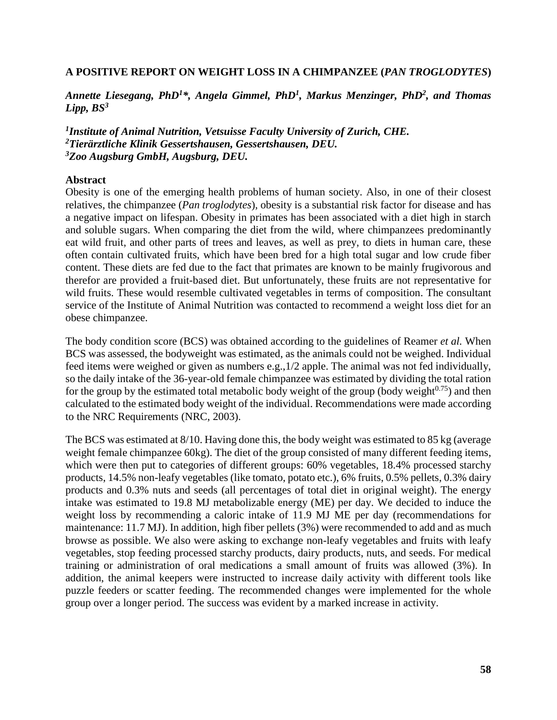## **A POSITIVE REPORT ON WEIGHT LOSS IN A CHIMPANZEE (***PAN TROGLODYTES***)**

*Annette Liesegang, PhD<sup>1</sup>\*, Angela Gimmel, PhD<sup>1</sup> , Markus Menzinger, PhD<sup>2</sup> , and Thomas Lipp, BS<sup>3</sup>*

*1 Institute of Animal Nutrition, Vetsuisse Faculty University of Zurich, CHE. <sup>2</sup>Tierärztliche Klinik Gessertshausen, Gessertshausen, DEU. <sup>3</sup>Zoo Augsburg GmbH, Augsburg, DEU.*

## **Abstract**

Obesity is one of the emerging health problems of human society. Also, in one of their closest relatives, the chimpanzee (*Pan troglodytes*), obesity is a substantial risk factor for disease and has a negative impact on lifespan. Obesity in primates has been associated with a diet high in starch and soluble sugars. When comparing the diet from the wild, where chimpanzees predominantly eat wild fruit, and other parts of trees and leaves, as well as prey, to diets in human care, these often contain cultivated fruits, which have been bred for a high total sugar and low crude fiber content. These diets are fed due to the fact that primates are known to be mainly frugivorous and therefor are provided a fruit-based diet. But unfortunately, these fruits are not representative for wild fruits. These would resemble cultivated vegetables in terms of composition. The consultant service of the Institute of Animal Nutrition was contacted to recommend a weight loss diet for an obese chimpanzee.

The body condition score (BCS) was obtained according to the guidelines of Reamer *et al.* When BCS was assessed, the bodyweight was estimated, as the animals could not be weighed. Individual feed items were weighed or given as numbers e.g.,1/2 apple. The animal was not fed individually, so the daily intake of the 36-year-old female chimpanzee was estimated by dividing the total ration for the group by the estimated total metabolic body weight of the group (body weight $^{0.75}$ ) and then calculated to the estimated body weight of the individual. Recommendations were made according to the NRC Requirements (NRC, 2003).

The BCS was estimated at 8/10. Having done this, the body weight was estimated to 85 kg (average weight female chimpanzee 60kg). The diet of the group consisted of many different feeding items, which were then put to categories of different groups: 60% vegetables, 18.4% processed starchy products, 14.5% non-leafy vegetables (like tomato, potato etc.), 6% fruits, 0.5% pellets, 0.3% dairy products and 0.3% nuts and seeds (all percentages of total diet in original weight). The energy intake was estimated to 19.8 MJ metabolizable energy (ME) per day. We decided to induce the weight loss by recommending a caloric intake of 11.9 MJ ME per day (recommendations for maintenance: 11.7 MJ). In addition, high fiber pellets (3%) were recommended to add and as much browse as possible. We also were asking to exchange non-leafy vegetables and fruits with leafy vegetables, stop feeding processed starchy products, dairy products, nuts, and seeds. For medical training or administration of oral medications a small amount of fruits was allowed (3%). In addition, the animal keepers were instructed to increase daily activity with different tools like puzzle feeders or scatter feeding. The recommended changes were implemented for the whole group over a longer period. The success was evident by a marked increase in activity.